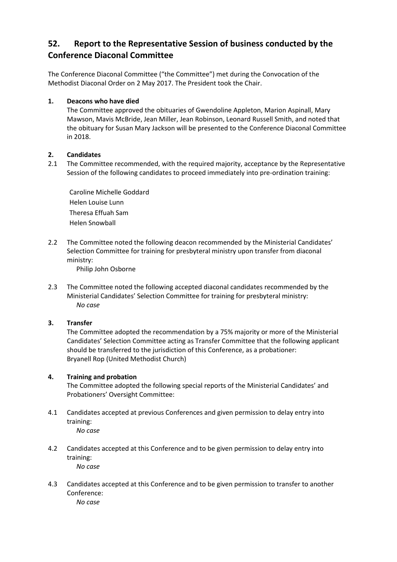# **52. Report to the Representative Session of business conducted by the Conference Diaconal Committee**

The Conference Diaconal Committee ("the Committee") met during the Convocation of the Methodist Diaconal Order on 2 May 2017. The President took the Chair.

# **1. Deacons who have died**

The Committee approved the obituaries of Gwendoline Appleton, Marion Aspinall, Mary Mawson, Mavis McBride, Jean Miller, Jean Robinson, Leonard Russell Smith, and noted that the obituary for Susan Mary Jackson will be presented to the Conference Diaconal Committee in 2018.

# **2. Candidates**

2.1 The Committee recommended, with the required majority, acceptance by the Representative Session of the following candidates to proceed immediately into pre-ordination training:

Caroline Michelle Goddard Helen Louise Lunn Theresa Effuah Sam Helen Snowball

2.2 The Committee noted the following deacon recommended by the Ministerial Candidates' Selection Committee for training for presbyteral ministry upon transfer from diaconal ministry:

Philip John Osborne

2.3 The Committee noted the following accepted diaconal candidates recommended by the Ministerial Candidates' Selection Committee for training for presbyteral ministry: *No case* 

# **3. Transfer**

The Committee adopted the recommendation by a 75% majority or more of the Ministerial Candidates' Selection Committee acting as Transfer Committee that the following applicant should be transferred to the jurisdiction of this Conference, as a probationer: Bryanell Rop (United Methodist Church)

# **4. Training and probation**

The Committee adopted the following special reports of the Ministerial Candidates' and Probationers' Oversight Committee:

- 4.1 Candidates accepted at previous Conferences and given permission to delay entry into training: *No case*
- 4.2 Candidates accepted at this Conference and to be given permission to delay entry into training: *No case*
- 4.3 Candidates accepted at this Conference and to be given permission to transfer to another Conference: *No case*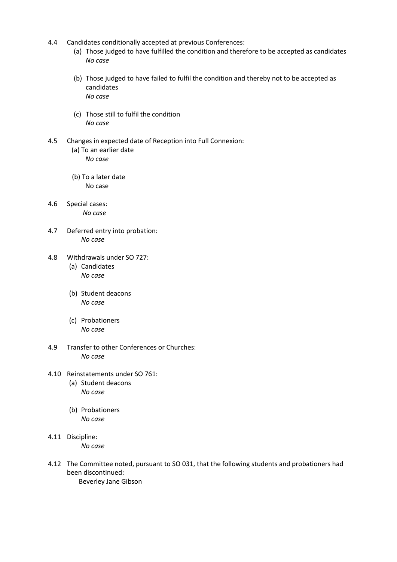- 4.4 Candidates conditionally accepted at previous Conferences:
	- (a) Those judged to have fulfilled the condition and therefore to be accepted as candidates *No case*
	- (b) Those judged to have failed to fulfil the condition and thereby not to be accepted as candidates *No case*
	- (c) Those still to fulfil the condition *No case*
- 4.5 Changes in expected date of Reception into Full Connexion: (a) To an earlier date *No case*
	- (b) To a later date No case
- 4.6 Special cases: *No case*
- 4.7 Deferred entry into probation: *No case*
- 4.8 Withdrawals under SO 727: (a) Candidates *No case*
	- (b) Student deacons *No case*
	- (c) Probationers *No case*
- 4.9 Transfer to other Conferences or Churches: *No case*
- 4.10 Reinstatements under SO 761: (a) Student deacons
	- *No case*
	- (b) Probationers *No case*
- 4.11 Discipline: *No case*
- 4.12 The Committee noted, pursuant to SO 031, that the following students and probationers had been discontinued:

Beverley Jane Gibson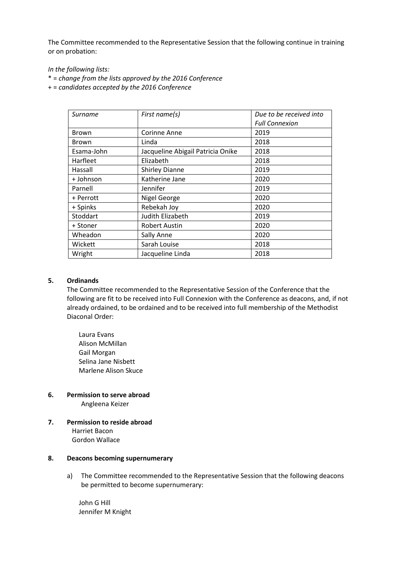The Committee recommended to the Representative Session that the following continue in training or on probation:

*In the following lists:*

- \* = *change from the lists approved by the 2016 Conference*
- + = *candidates accepted by the 2016 Conference*

| Surname      | First name(s)                     | Due to be received into |
|--------------|-----------------------------------|-------------------------|
|              |                                   | <b>Full Connexion</b>   |
| <b>Brown</b> | Corinne Anne                      | 2019                    |
| <b>Brown</b> | Linda                             | 2018                    |
| Esama-John   | Jacqueline Abigail Patricia Onike | 2018                    |
| Harfleet     | Elizabeth                         | 2018                    |
| Hassall      | <b>Shirley Dianne</b>             | 2019                    |
| + Johnson    | Katherine Jane                    | 2020                    |
| Parnell      | Jennifer                          | 2019                    |
| + Perrott    | Nigel George                      | 2020                    |
| + Spinks     | Rebekah Joy                       | 2020                    |
| Stoddart     | Judith Elizabeth                  | 2019                    |
| + Stoner     | <b>Robert Austin</b>              | 2020                    |
| Wheadon      | Sally Anne                        | 2020                    |
| Wickett      | Sarah Louise                      | 2018                    |
| Wright       | Jacqueline Linda                  | 2018                    |

## **5. Ordinands**

The Committee recommended to the Representative Session of the Conference that the following are fit to be received into Full Connexion with the Conference as deacons, and, if not already ordained, to be ordained and to be received into full membership of the Methodist Diaconal Order:

Laura Evans Alison McMillan Gail Morgan Selina Jane Nisbett Marlene Alison Skuce

## **6. Permission to serve abroad**

Angleena Keizer

**7. Permission to reside abroad** Harriet Bacon Gordon Wallace

#### **8. Deacons becoming supernumerary**

a) The Committee recommended to the Representative Session that the following deacons be permitted to become supernumerary:

John G Hill Jennifer M Knight